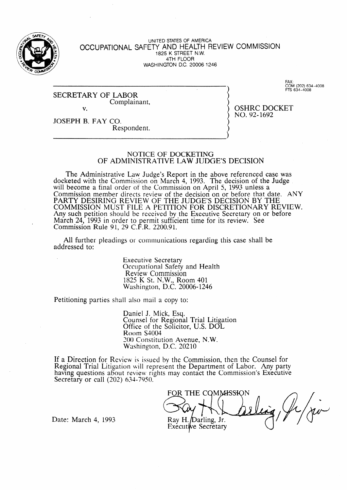

UNITED STATES OF AMERICA **OCCUPATIONAL SAFETY** AND HEALTH REVIEW COMMISSION 1825 K STREET N.W. 4TH FLOOR WASHINGTON D.C. 20006-1246

SECRETARY OF LABOR Complainant, v.

**FAX:**<br>COM (202) 634-40 **FTS 634-4008** 

OSHRC DOCKET NO. 92-1692

JOSEPH B. FAY CO. Respondent.

#### NOTICE OF DOCKETING OF ADMINISTRATIVE LAW JUDGE'S DECISION

The Administrative Law Judge's Report in the above referenced case was docketed with the Commission on March 4, 1993. The decision of the Judge will become a final order of the Commission on April 5, 1993 unless a Commission member directs review of the decision on or before that date. ANY PARTY DESIRING REVIEW OF THE JUDGE'S DECISION BY THE COMMISSION MUST FILE A PETITION FOR DISCRETIONARY REVIEW. Any such petition should be received by the Executive Secretary on or before March 24, 1993 in order to permit sufficient time for its review. See Commission Rule 91, 29 C.F.R. 2200.91.

All further pleadings or communications regarding this case shall be addressed to:

> Executive Secretary Occupational Safety and Health Review Commission 1825 K St. N.W., Room 401 Washington, D.C. 20006-1246

Petitioning parties shall also mail a copy to:

Daniel J. Mick, Esq. Counsel for Regional Trial Litigatio Office of the Solicitor, U.S. DOL Room S4004 300 Constitution Avenue, N.W. Washingion, D.C. 20210

If a Direction for Review is issued by the Commission, then the Counsel for Regional Trial Litigation will represent the Department of Labor. Any party having questions about review rights may contact the Commission's Executive Secretary or call  $(202)$  634-7950.

FOR THE COMMISSION Ray H. Darling, Jr. Executive Secretary

Date: March 4, 1993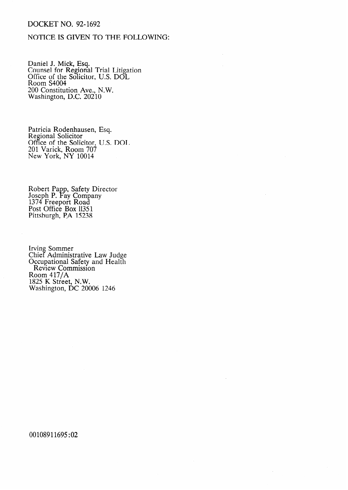## **DOCKET NO. 92-1692**

# NOTICE IS GIVEN TO THE FOLLOWING:

Daniel J. Mick, Esq.<br>Counsel for Regional Trial Litigation<br>Office of the Solicitor, U.S. DOL<br>Room S4004 200 Constitution Ave., N.W.<br>Washington, D.C. 20210

Patricia Rodenhausen, Esq.<br>Regional Solicitor<br>Office of the Solicitor, U.S. DOL<br>201 Varick, Room 707<br>New York, NY 10014

Robert Papp, Safety Director<br>Joseph P. Fay Company<br>1374 Freeport Road<br>Post Office Box 11351<br>Pittsburgh, P.A 15238

Irving Sommer<br>Chief Administrative Law Judge<br>Occupational Safety and Health<br>Review Commission<br>Room 417/A<br>1825 K Street, N.W.<br>Washington, DC 20006 1246

00108911695:02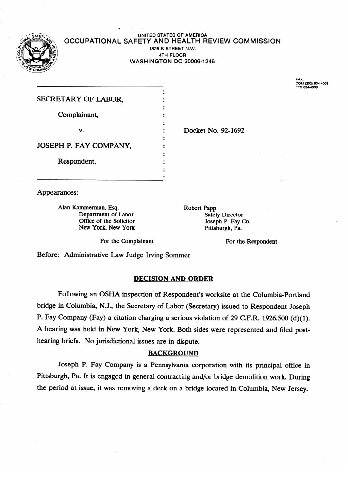

#### \* UNITED STATES OF AMERICA OCCUPATIONAL SAFETY AND HEALTH REVIEW COMMISSION 1825 K STREET N.W. THE FOOR **WASHINGTON DC 20006-1216**

FAX: **FAX: COM (202) 6344006** 

| SECRETARY OF LABOR,    |  |
|------------------------|--|
|                        |  |
| Complainant,           |  |
|                        |  |
| v.                     |  |
|                        |  |
| JOSEPH P. FAY COMPANY, |  |
|                        |  |
| Respondent.            |  |
|                        |  |
|                        |  |

Appearances:

New York, New York **Director** Pittsburgh, Pa.  $\sum_{i=1}^n$   $\sum_{i=1}^n$   $\sum_{i=1}^n$   $\sum_{i=1}^n$   $\sum_{i=1}^n$   $\sum_{i=1}^n$   $\sum_{i=1}^n$   $\sum_{i=1}^n$   $\sum_{i=1}^n$   $\sum_{i=1}^n$   $\sum_{i=1}^n$   $\sum_{i=1}^n$   $\sum_{i=1}^n$   $\sum_{i=1}^n$   $\sum_{i=1}^n$   $\sum_{i=1}^n$   $\sum_{i=1}^n$   $\sum_{i=1}^n$   $\sum_{i$ 

Robert Papp Department of Labor<br>
Office of the Solicitor<br>  $A$  Alan Kammerman, Especial Control of Labor<br>  $A$  Alan Kammerman, Especial Control of Labor<br>  $A$  Alan Kammerman, Especial Control of Labor<br>  $A$  Alan Kammerman, Especial Contro

Docket No. 92-1692

For the Complainant For the Respondent

Before: Administrative Law Judge Irving Sommer

## **DECISION AND ORDER**

.

Following an OSHA inspection of Respondent's worksite at the Columbia-Portland bridge in Columbia, N.J., the Secretary of Labor (Secretary) issued to Respondent Joseph P. Fay Company (Fay) a citation charging a serious violation of 29 C.F.R. 1926.500 (d)(1). A hearing was held in New York, New York. Both sides were represented and filed posthearing briefs. No jurisdictional issues are in dispute.

### **BACKGROUND**

Joseph P. Fay Company is a Pennsylvania corporation with its principal office in Pittsburgh, Pa. It is engaged in general contracting and/or bridge demolition work. During the period at issue, it was removing a deck on a bridge located in Columbia, New Jersey.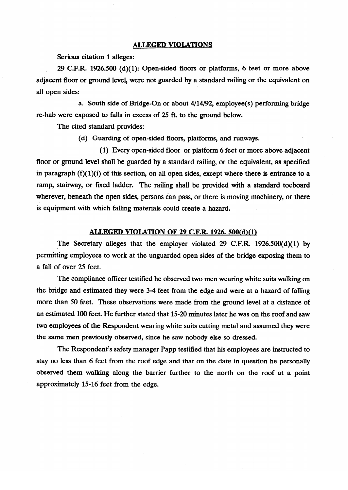### **ALLEGED VIOLATIONS**

**Serious citation 1 alleges:** 

29 **C.F.R.** 1926.500 (d)(l): Open-sided floors or platforms, 6 feet or more above adjacent floor or ground level, were not guarded by a standard railing or the equivalent on all open sides:

a. South side of Bridge-On or about 4/14/92, employee(s) performing bridge re-hab were exposed to falls in excess of 25 ft. to the ground below.<br>The cited standard provides:

(d) Guarding of open-sided floors, platforms, and runways.

 $(1)$  Every open-sided floor or platform 6 feet or more above adjacent floor or ground level shall be guarded by a standard railing, or the equivalent, as specified in paragraph  $(f)(1)(i)$  of this section, on all open sides, except where there is entrance to a ramp, stairway, or fixed ladder. The railing shall be provided with a standard toeboard wherever, beneath the open sides, persons can pass, or there is moving machinery, or there is equipment with which falling materials could create a hazard.

#### ALLEGED VIOLATION OF 29 C.F.R. 1926. 500(d)(1)

The Secretary alleges that the employer violated 29 C.F.R.  $1926.500(d)(1)$  by permitting employees to work at the unguarded open sides of the bridge exposing them to a fall of over 25 feet.

The compliance officer testified he observed two men wearing white suits walking on the bridge and estimated they were 3-4 feet from the edge and were at a hazard of falling more than 50 feet. These observations were made from the ground level at a distance of an estimated 100 feet. He further stated that 15-20 minutes later he was on the roof and saw two employees of the Respondent wearing white suits cutting metal and assumed they were the same men previously observed, since he saw nobody else so dressed.

The Respondent's safety manager Papp testified that his employees are instructed to stay no less than 6 feet from the roof edge and that on the date in question he personally observed them walking along the barrier further to the north on the roof at a point approximately 15-16 feet from the edge.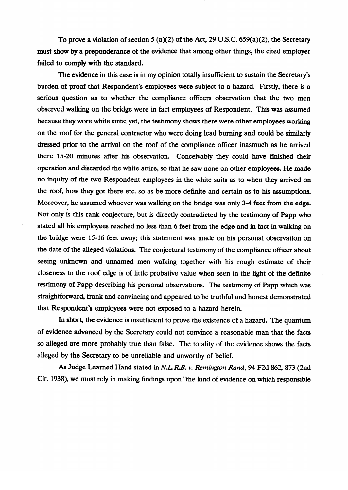To **prove a** violation of section 5 (a)(2) of the Act, 29 **U.S.C. 659(a)(2),** the Secretary must show by a preponderance of the evidence that among other things, the cited employer failed to **comply** with the standard.

The **evidence** in this case is in my opinion totally insufficient to sustain the Secretary's burden of proof that Respondent's employees were subject to a hazard. Firstly, there is a serious question as to whether the compliance officers observation that the two men observed **walking on** the bridge were in fact employees of Respondent. This was **assumed**  because they wore white suits; yet, the testimony shows there were other employees working<br>on the roof for the general contractor who were doing lead burning and could be similarly dressed prior to the arrival on the roof of the compliance officer inasmuch as he arrived there 15-20 minutes after his observation. Conceivably they could have finished their operation and discarded the white attire, so that he saw none on other employees. He made no inquiry of the two Respondent employees in the white suits as to when they arrived on the roof, how they got there etc. so as be more definite and certain as to his assumptions. Moreover, he assumed whoever was walking on the bridge was only 3-4 feet from the edge. Not only is this rank conjecture, but is directly contradicted by the testimony of Papp who stated all his employees reached no less than 6 feet from the edge and in fact in walking on the bridge were 15-16 feet away; this statement was made on his personal observation on the date of the alleged violations. The conjectural testimony of the compliance officer about seeing unknown and unnamed men walking together with his rough estimate of their closeness to the roof edge is of little probative value when seen in the light of the definite testimony of Papp describing his personal observations. The testimony of Papp which was straightforward, frank and convincing and appeared to be truthful and honest demonstrated that Respondent's employees were not exposed to a hazard herein.

In short, the evidence is insufficient to prove the existence of a hazard. The quantum of evidence advanced by the Secretary could not convince a reasonable man that the facts so alleged are more probably true than false. The totality of the evidence shows the facts alleged by the Secretary to be unreliable and unworthy of belief.

As Judge Learned Hand stated in N.L.R.B. v. Remington Rand, 94 F2d 862, 873 (2nd Cir. 1938), we must rely in making findings upon "the kind of evidence on which responsible